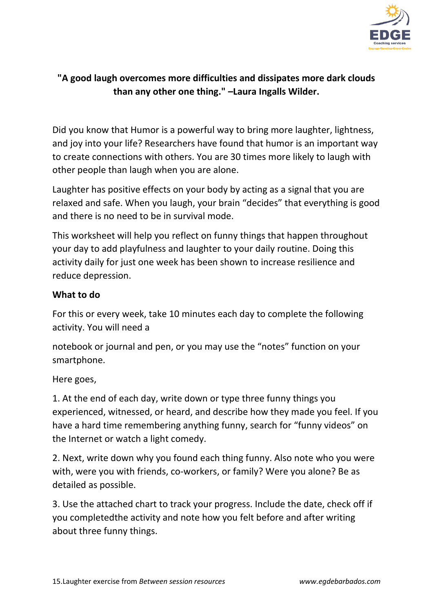

## **"A good laugh overcomes more difficulties and dissipates more dark clouds than any other one thing." –Laura Ingalls Wilder.**

Did you know that Humor is a powerful way to bring more laughter, lightness, and joy into your life? Researchers have found that humor is an important way to create connections with others. You are 30 times more likely to laugh with other people than laugh when you are alone.

Laughter has positive effects on your body by acting as a signal that you are relaxed and safe. When you laugh, your brain "decides" that everything is good and there is no need to be in survival mode.

This worksheet will help you reflect on funny things that happen throughout your day to add playfulness and laughter to your daily routine. Doing this activity daily for just one week has been shown to increase resilience and reduce depression.

## **What to do**

For this or every week, take 10 minutes each day to complete the following activity. You will need a

notebook or journal and pen, or you may use the "notes" function on your smartphone.

Here goes,

1. At the end of each day, write down or type three funny things you experienced, witnessed, or heard, and describe how they made you feel. If you have a hard time remembering anything funny, search for "funny videos" on the Internet or watch a light comedy.

2. Next, write down why you found each thing funny. Also note who you were with, were you with friends, co-workers, or family? Were you alone? Be as detailed as possible.

3. Use the attached chart to track your progress. Include the date, check off if you completedthe activity and note how you felt before and after writing about three funny things.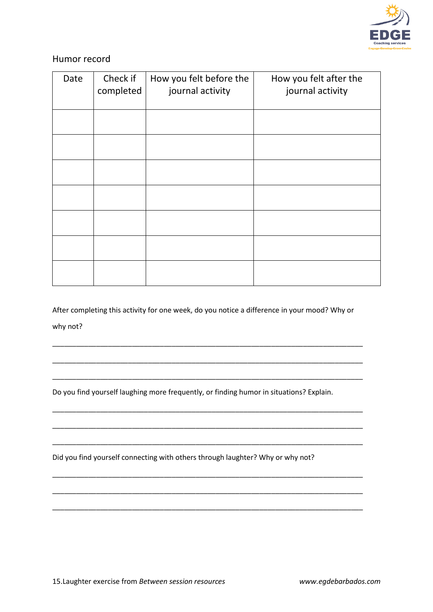

## Humor record

| Date | Check if<br>completed | How you felt before the<br>journal activity | How you felt after the<br>journal activity |
|------|-----------------------|---------------------------------------------|--------------------------------------------|
|      |                       |                                             |                                            |
|      |                       |                                             |                                            |
|      |                       |                                             |                                            |
|      |                       |                                             |                                            |
|      |                       |                                             |                                            |
|      |                       |                                             |                                            |
|      |                       |                                             |                                            |

After completing this activity for one week, do you notice a difference in your mood? Why or why not?

\_\_\_\_\_\_\_\_\_\_\_\_\_\_\_\_\_\_\_\_\_\_\_\_\_\_\_\_\_\_\_\_\_\_\_\_\_\_\_\_\_\_\_\_\_\_\_\_\_\_\_\_\_\_\_\_\_\_\_\_\_\_\_\_\_\_\_\_\_\_\_\_\_\_\_\_\_\_

\_\_\_\_\_\_\_\_\_\_\_\_\_\_\_\_\_\_\_\_\_\_\_\_\_\_\_\_\_\_\_\_\_\_\_\_\_\_\_\_\_\_\_\_\_\_\_\_\_\_\_\_\_\_\_\_\_\_\_\_\_\_\_\_\_\_\_\_\_\_\_\_\_\_\_\_\_\_

\_\_\_\_\_\_\_\_\_\_\_\_\_\_\_\_\_\_\_\_\_\_\_\_\_\_\_\_\_\_\_\_\_\_\_\_\_\_\_\_\_\_\_\_\_\_\_\_\_\_\_\_\_\_\_\_\_\_\_\_\_\_\_\_\_\_\_\_\_\_\_\_\_\_\_\_\_\_

\_\_\_\_\_\_\_\_\_\_\_\_\_\_\_\_\_\_\_\_\_\_\_\_\_\_\_\_\_\_\_\_\_\_\_\_\_\_\_\_\_\_\_\_\_\_\_\_\_\_\_\_\_\_\_\_\_\_\_\_\_\_\_\_\_\_\_\_\_\_\_\_\_\_\_\_\_\_

\_\_\_\_\_\_\_\_\_\_\_\_\_\_\_\_\_\_\_\_\_\_\_\_\_\_\_\_\_\_\_\_\_\_\_\_\_\_\_\_\_\_\_\_\_\_\_\_\_\_\_\_\_\_\_\_\_\_\_\_\_\_\_\_\_\_\_\_\_\_\_\_\_\_\_\_\_\_

\_\_\_\_\_\_\_\_\_\_\_\_\_\_\_\_\_\_\_\_\_\_\_\_\_\_\_\_\_\_\_\_\_\_\_\_\_\_\_\_\_\_\_\_\_\_\_\_\_\_\_\_\_\_\_\_\_\_\_\_\_\_\_\_\_\_\_\_\_\_\_\_\_\_\_\_\_\_

\_\_\_\_\_\_\_\_\_\_\_\_\_\_\_\_\_\_\_\_\_\_\_\_\_\_\_\_\_\_\_\_\_\_\_\_\_\_\_\_\_\_\_\_\_\_\_\_\_\_\_\_\_\_\_\_\_\_\_\_\_\_\_\_\_\_\_\_\_\_\_\_\_\_\_\_\_\_

\_\_\_\_\_\_\_\_\_\_\_\_\_\_\_\_\_\_\_\_\_\_\_\_\_\_\_\_\_\_\_\_\_\_\_\_\_\_\_\_\_\_\_\_\_\_\_\_\_\_\_\_\_\_\_\_\_\_\_\_\_\_\_\_\_\_\_\_\_\_\_\_\_\_\_\_\_\_

\_\_\_\_\_\_\_\_\_\_\_\_\_\_\_\_\_\_\_\_\_\_\_\_\_\_\_\_\_\_\_\_\_\_\_\_\_\_\_\_\_\_\_\_\_\_\_\_\_\_\_\_\_\_\_\_\_\_\_\_\_\_\_\_\_\_\_\_\_\_\_\_\_\_\_\_\_\_

Do you find yourself laughing more frequently, or finding humor in situations? Explain.

Did you find yourself connecting with others through laughter? Why or why not?